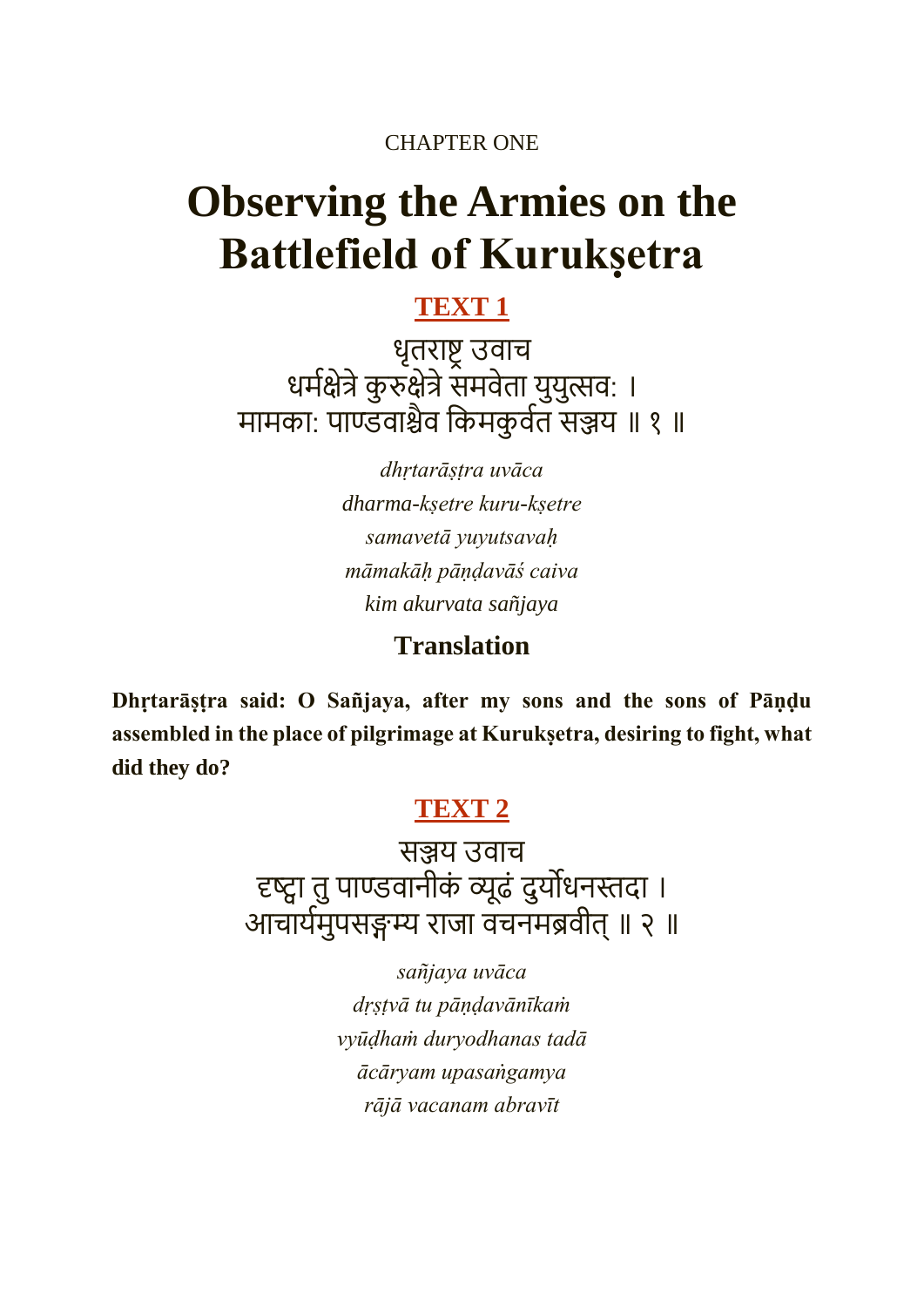CHAPTER ONE

# **Observing the Armies on the Battlefield of Kurukṣetra**

### **[TEXT 1](https://vedabase.io/en/library/bg/1/1/)**

धृतराष्ट्र उवाच धर्मक्षेत्रे कुरुक्षेत्रे समर्वता युयुत्सव: । मामका: पाण्डवाश्चैव किमकुर्वत सञ्जय ॥ १ ॥

> *dhṛtarāṣṭra uvāca dharma-kṣetre kuru-kṣetre samavetā yuyutsavaḥ māmakāḥ pāṇḍavāś caiva kim akurvata sañjaya*

#### **Translation**

**Dhṛtarāṣṭra said: O Sañjaya, after my sons and the sons of Pāṇḍu assembled in the place of pilgrimage at Kurukṣetra, desiring to fight, what did they do?**

### **[TEXT 2](https://vedabase.io/en/library/bg/1/2/)**

सञ्जय उवाच दृष्ट्वा तुपाण्डवानीकं व्यूढं दुयोधनस्तदा । आचायमर्ुपसङ्गम्य राजा वचनर्ब्रवीत्॥ २ ॥

> *sañjaya uvāca dṛṣṭvā tu pāṇḍavānīkaṁ vyūḍhaṁ duryodhanas tadā ācāryam upasaṅgamya rājā vacanam abravīt*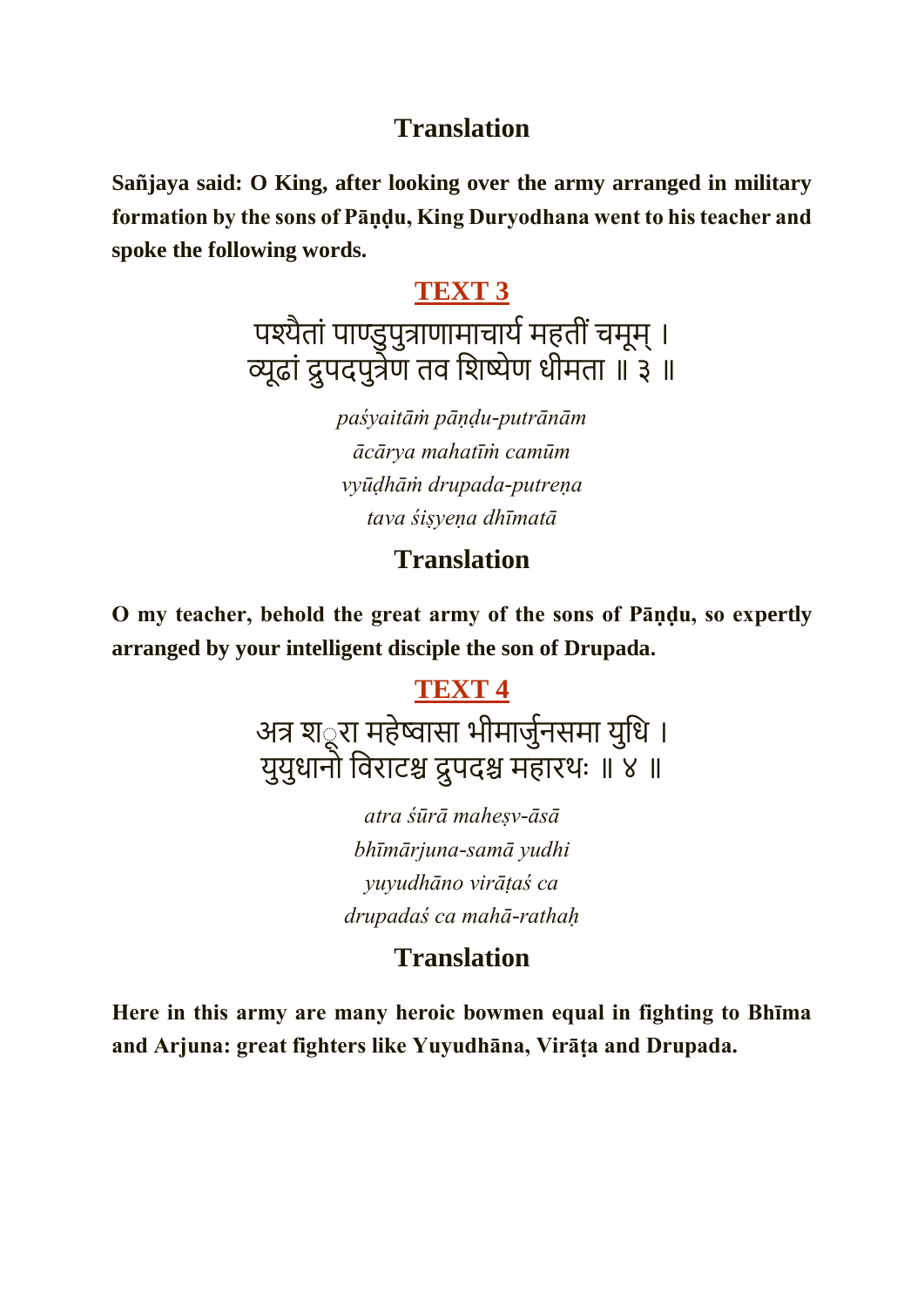#### **Translation**

**Sañjaya said: O King, after looking over the army arranged in military formation by the sons of Pāṇḍu, King Duryodhana went to his teacher and spoke the following words.**

#### **[TEXT 3](https://vedabase.io/en/library/bg/1/3/)**

पश्यैतां पाण्डुपुत्राणामाचार्य महतीं चमूम् । व्यूढां द्रु पदपुत्रेण तव किष्येण धीर्ता ॥ ३ ॥

> *paśyaitāṁ pāṇḍu-putrānām ācārya mahatīṁ camūm vyūḍhāṁ drupada-putreṇa tava śiṣyeṇa dhīmatā*

#### **Translation**

**O my teacher, behold the great army of the sons of Pāṇḍu, so expertly arranged by your intelligent disciple the son of Drupada.**

### **[TEXT 4](https://vedabase.io/en/library/bg/1/4/)**

अत्र श*ूरा महेष्वासा भीमार्जुनसमा युधि* । युयुधानो कवराटश्च द्रु पदश्च र्हारथः ॥ ४ ॥

> *atra śūrā maheṣv-āsā bhīmārjuna-samā yudhi yuyudhāno virāṭaś ca drupadaś ca mahā-rathaḥ*

## **Translation**

**Here in this army are many heroic bowmen equal in fighting to Bhīma and Arjuna: great fighters like Yuyudhāna, Virāṭa and Drupada.**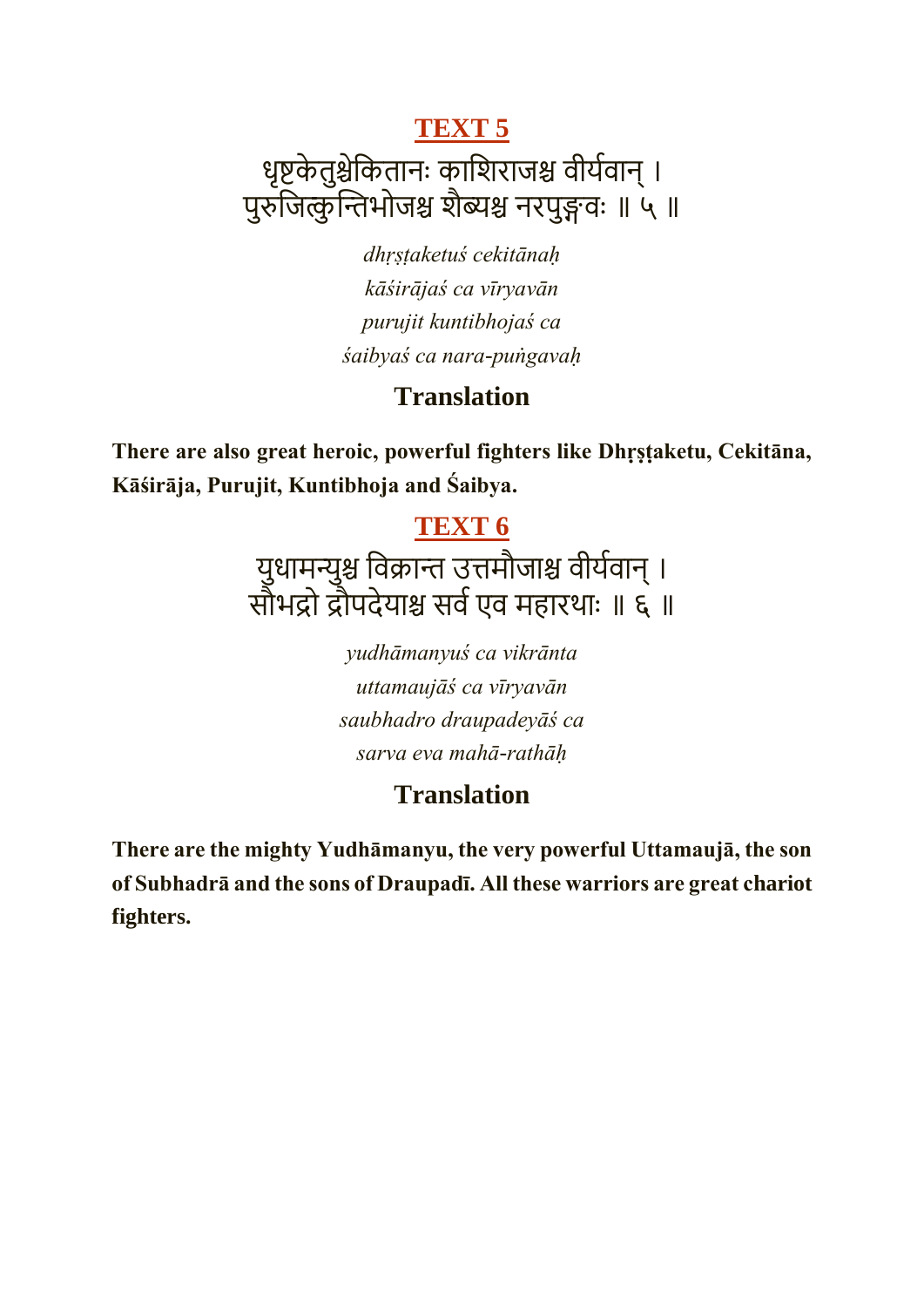## धृष्टकेतुश्चेकितानः काशिराजश्च वीर्यवान् । पुरुजित्कुन्तिभोजश्च शैब्यश्च नरपुङ्गवः ॥ ५ ॥

*dhṛṣṭaketuś cekitānaḥ kāśirājaś ca vīryavān purujit kuntibhojaś ca śaibyaś ca nara-puṅgavaḥ*

### **Translation**

**There are also great heroic, powerful fighters like Dhṛṣṭaketu, Cekitāna, Kāśirāja, Purujit, Kuntibhoja and Śaibya.**

### **[TEXT 6](https://vedabase.io/en/library/bg/1/6/)**

युधामन्युश्च विक्रान्त उत्तमौजाश्च वीर्यवान् । सौभद्रो द्रौपदेयाश्च सर्व एव महारथाः ॥ ६ ॥

> *yudhāmanyuś ca vikrānta uttamaujāś ca vīryavān saubhadro draupadeyāś ca sarva eva mahā-rathāḥ*

## **Translation**

**There are the mighty Yudhāmanyu, the very powerful Uttamaujā, the son of Subhadrā and the sons of Draupadī. All these warriors are great chariot fighters.**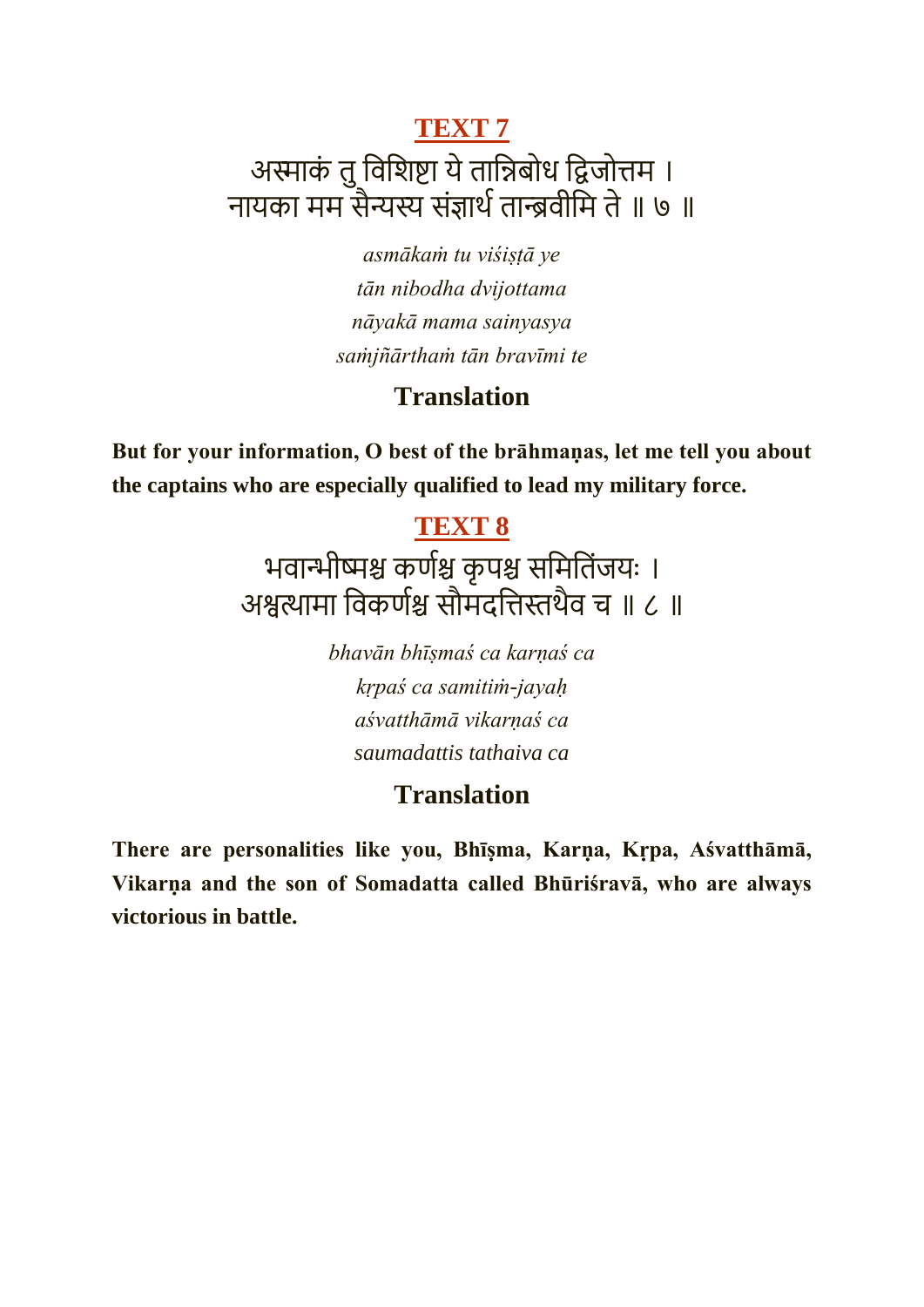## **[TEXT 7](https://vedabase.io/en/library/bg/1/7/)** अस्माकं तु विशिष्टा ये तान्निबोध द्विजोत्तम । नायका मम सैन्यस्य संज्ञार्थ तान्ब्रवीमि ते ॥ ७ ॥

*asmākaṁ tu viśiṣṭā ye tān nibodha dvijottama nāyakā mama sainyasya saṁjñārthaṁ tān bravīmi te*

#### **Translation**

**But for your information, O best of the brāhmaṇas, let me tell you about the captains who are especially qualified to lead my military force.**

#### **[TEXT 8](https://vedabase.io/en/library/bg/1/8/)**

भवान्भीष्मश्च कर्णश्च कृपश्च समितिंजयः । अश्वत्थार्ा कवकणमश्च सौर्दकत्तस्तथैव च ॥ ८ ॥

> *bhavān bhīṣmaś ca karṇaś ca kṛpaś ca samitiṁ-jayaḥ aśvatthāmā vikarṇaś ca saumadattis tathaiva ca*

## **Translation**

**There are personalities like you, Bhīṣma, Karṇa, Kṛpa, Aśvatthāmā, Vikarṇa and the son of Somadatta called Bhūriśravā, who are always victorious in battle.**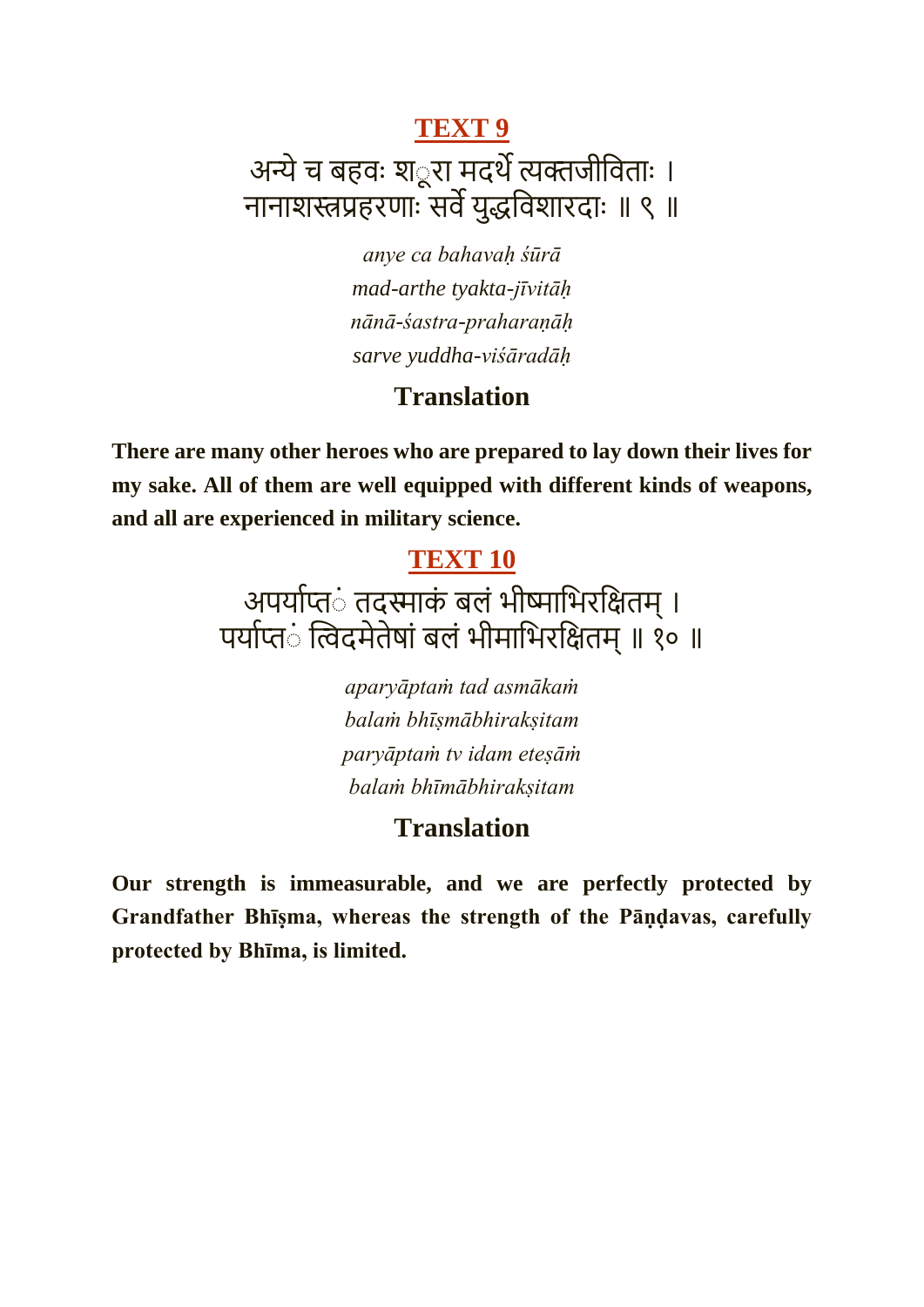## अन्ये च बहवः श*ूरा मदर्थे त्यक्तजीविताः ।* नानाशस्त्रप्रहरणाः सर्वे युद्धविशारदाः ॥ ९ ॥

*anye ca bahavaḥ śūrā mad-arthe tyakta-jīvitāḥ nānā-śastra-praharaṇāḥ sarve yuddha-viśāradāḥ*

#### **Translation**

**There are many other heroes who are prepared to lay down their lives for my sake. All of them are well equipped with different kinds of weapons, and all are experienced in military science.**

#### **[TEXT 10](https://vedabase.io/en/library/bg/1/10/)**

## अपर्याप्त**ं तदस्माकं बलं भीष्माभिरक्षितम्** । पर्याप्तं त्विदमेतेषां बलं भीमाभिरक्षितम् ॥ १० ॥

*aparyāptaṁ tad asmākaṁ balaṁ bhīṣmābhirakṣitam paryāptaṁ tv idam eteṣāṁ balaṁ bhīmābhirakṣitam*

#### **Translation**

**Our strength is immeasurable, and we are perfectly protected by Grandfather Bhīṣma, whereas the strength of the Pāṇḍavas, carefully protected by Bhīma, is limited.**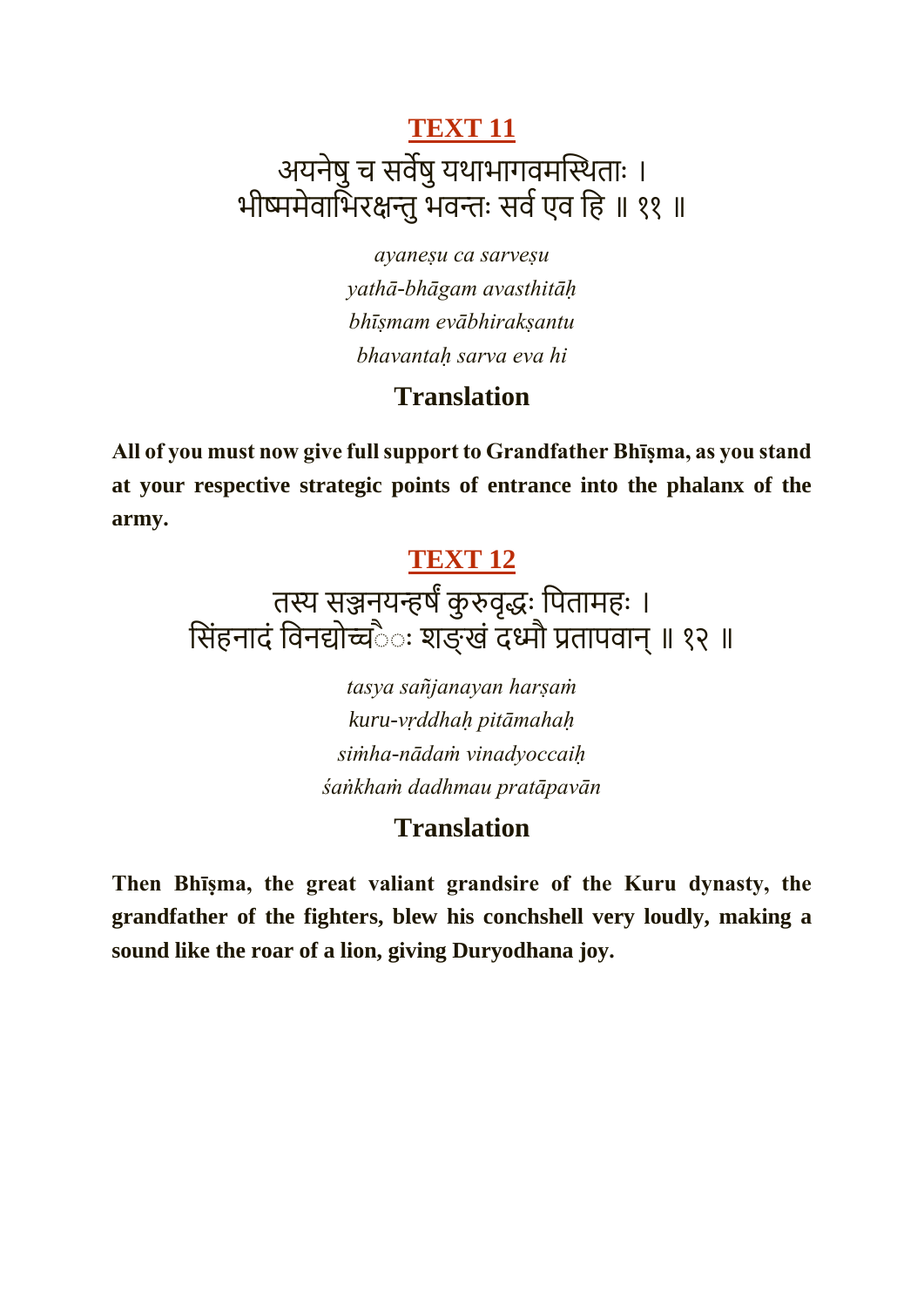## **[TEXT 11](https://vedabase.io/en/library/bg/1/11/)** अयनेषु च सर्वेषु यथाभागवमस्थिताः । भीष्ममेवाभिरक्षन्तु भवन्तः सर्व एव हि ॥ ११ ॥

*ayaneṣu ca sarveṣu yathā-bhāgam avasthitāḥ bhīṣmam evābhirakṣantu bhavantaḥ sarva eva hi*

#### **Translation**

**All of you must now give full support to Grandfather Bhīṣma, as you stand at your respective strategic points of entrance into the phalanx of the army.**

#### **[TEXT 12](https://vedabase.io/en/library/bg/1/12/)**

## तस्य सञ्जनयन्हर्षं कुरुवृद्धः पितामहः । सिंहनादं विनद्योच्चैः शङ्खं दध्मौ प्रतापवान् ॥ १२ ॥

*tasya sañjanayan harṣaṁ kuru-vṛddhaḥ pitāmahaḥ siṁha-nādaṁ vinadyoccaiḥ śaṅkhaṁ dadhmau pratāpavān*

### **Translation**

**Then Bhīṣma, the great valiant grandsire of the Kuru dynasty, the grandfather of the fighters, blew his conchshell very loudly, making a sound like the roar of a lion, giving Duryodhana joy.**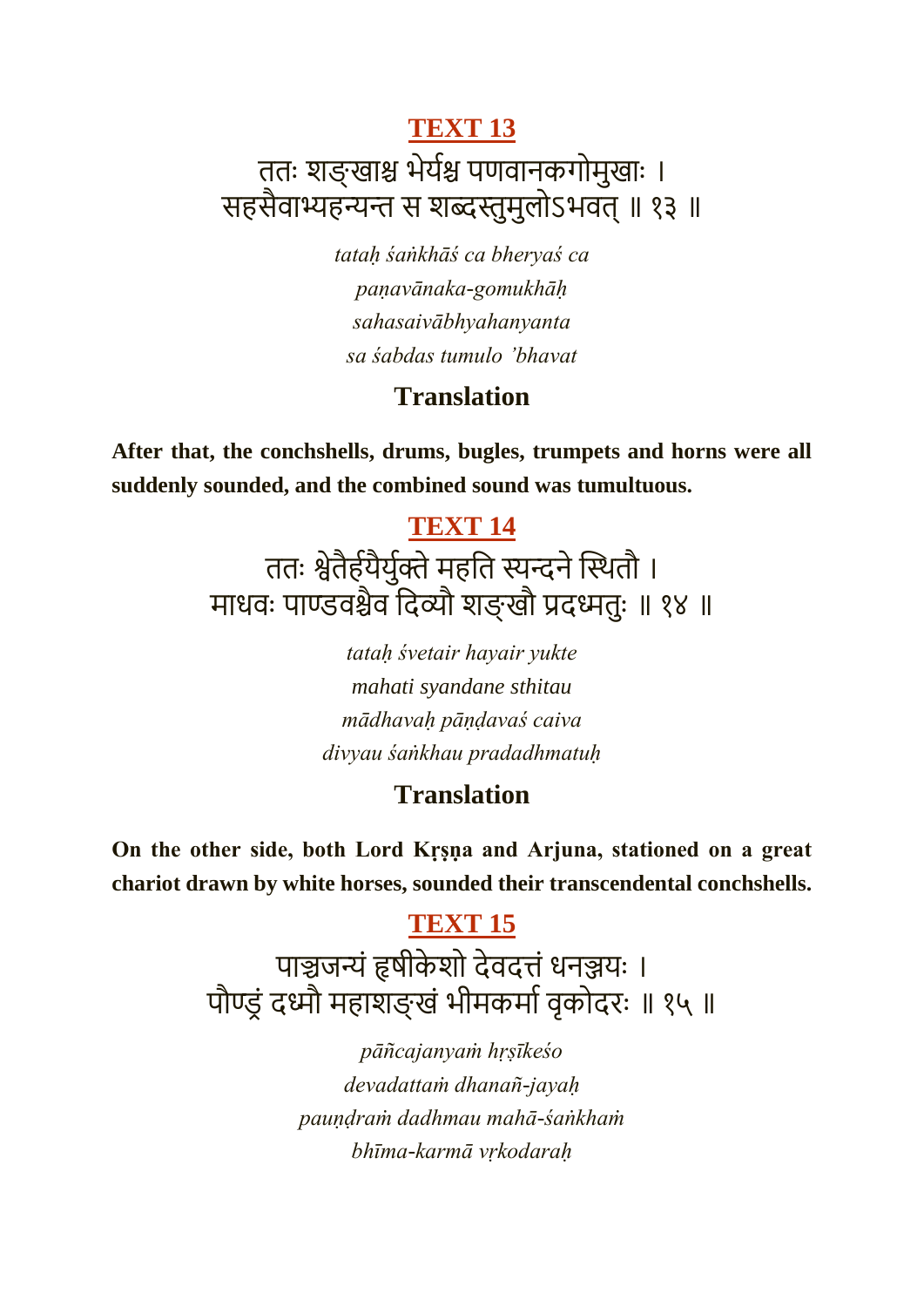## ततः शङ्खाश्च भेर्यश्च पणवानकगोमुखाः । सहसैवाभ्यहन्यन्त स शब्दस्तुमुलोऽभवत् ॥ १३ ॥

*tataḥ śaṅkhāś ca bheryaś ca paṇavānaka-gomukhāḥ sahasaivābhyahanyanta sa śabdas tumulo 'bhavat*

### **Translation**

**After that, the conchshells, drums, bugles, trumpets and horns were all suddenly sounded, and the combined sound was tumultuous.**

## **[TEXT 14](https://vedabase.io/en/library/bg/1/14/)**

ततः श्वेतैर्हयैर्यक्ते महति स्यन्दने स्थितौ । माधवः पाण्डवश्चैव दिव्यौ शङ्खौ प्रदध्मतुः ॥ १४ ॥

> *tataḥ śvetair hayair yukte mahati syandane sthitau mādhavaḥ pāṇḍavaś caiva divyau śaṅkhau pradadhmatuḥ*

## **Translation**

**On the other side, both Lord Kṛṣṇa and Arjuna, stationed on a great chariot drawn by white horses, sounded their transcendental conchshells.**

## **[TEXT 15](https://vedabase.io/en/library/bg/1/15/)**

पाञ्चजन्यं हृषीकेशो देवदत्तं धनञ्जयः । पौण्ड्रं दध्मौ महाशङ्खं भीमकर्मा वृकोदरः ॥ १५ ॥

> *pāñcajanyaṁ hṛṣīkeśo devadattaṁ dhanañ-jayaḥ pauṇḍraṁ dadhmau mahā-śaṅkhaṁ bhīma-karmā vṛkodaraḥ*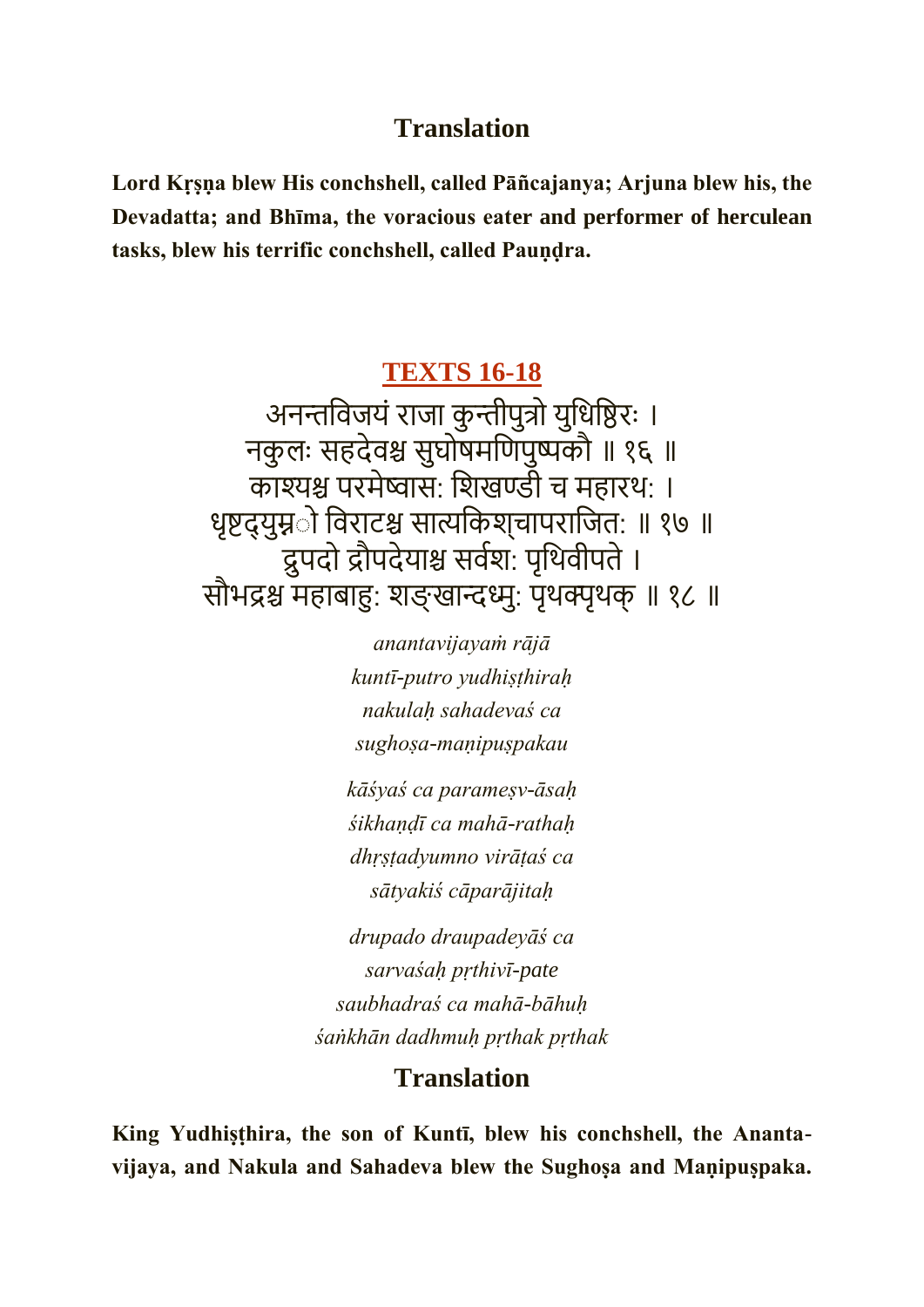#### **Translation**

**Lord Kṛṣṇa blew His conchshell, called Pāñcajanya; Arjuna blew his, the Devadatta; and Bhīma, the voracious eater and performer of herculean tasks, blew his terrific conchshell, called Pauṇḍra.**

#### **[TEXTS 16-18](https://vedabase.io/en/library/bg/1/16-18/)**

अनन्तविजयं राजा कुन्तीपुत्रो युधिष्ठिरः । नकु लः सहदेवश्च सुघोषर्कणपुष्पकौ ॥ १६ ॥ काश्यश्च परमेष्वास: शिखण्डी च महारथ: । धृष्टद्युम्नूो विराटश्च सात्यकिश्चापराजित: ॥ १७ ॥ द्रुपदो द्रौपदेयाश्च सर्वश: पृथिवीपते । सौभद्रश्च महाबाहु: शङ्खान्दध्मु: पृथक्पृथक् ॥ १८ ॥

> *anantavijayaṁ rājā kuntī-putro yudhiṣṭhiraḥ nakulaḥ sahadevaś ca sughoṣa-maṇipuṣpakau*

*kāśyaś ca parameṣv-āsaḥ śikhaṇḍī ca mahā-rathaḥ dhṛṣṭadyumno virāṭaś ca sātyakiś cāparājitaḥ*

*drupado draupadeyāś ca sarvaśaḥ pṛthivī-pate saubhadraś ca mahā-bāhuḥ śaṅkhān dadhmuḥ pṛthak pṛthak*

#### **Translation**

**King Yudhiṣṭhira, the son of Kuntī, blew his conchshell, the Anantavijaya, and Nakula and Sahadeva blew the Sughoṣa and Maṇipuṣpaka.**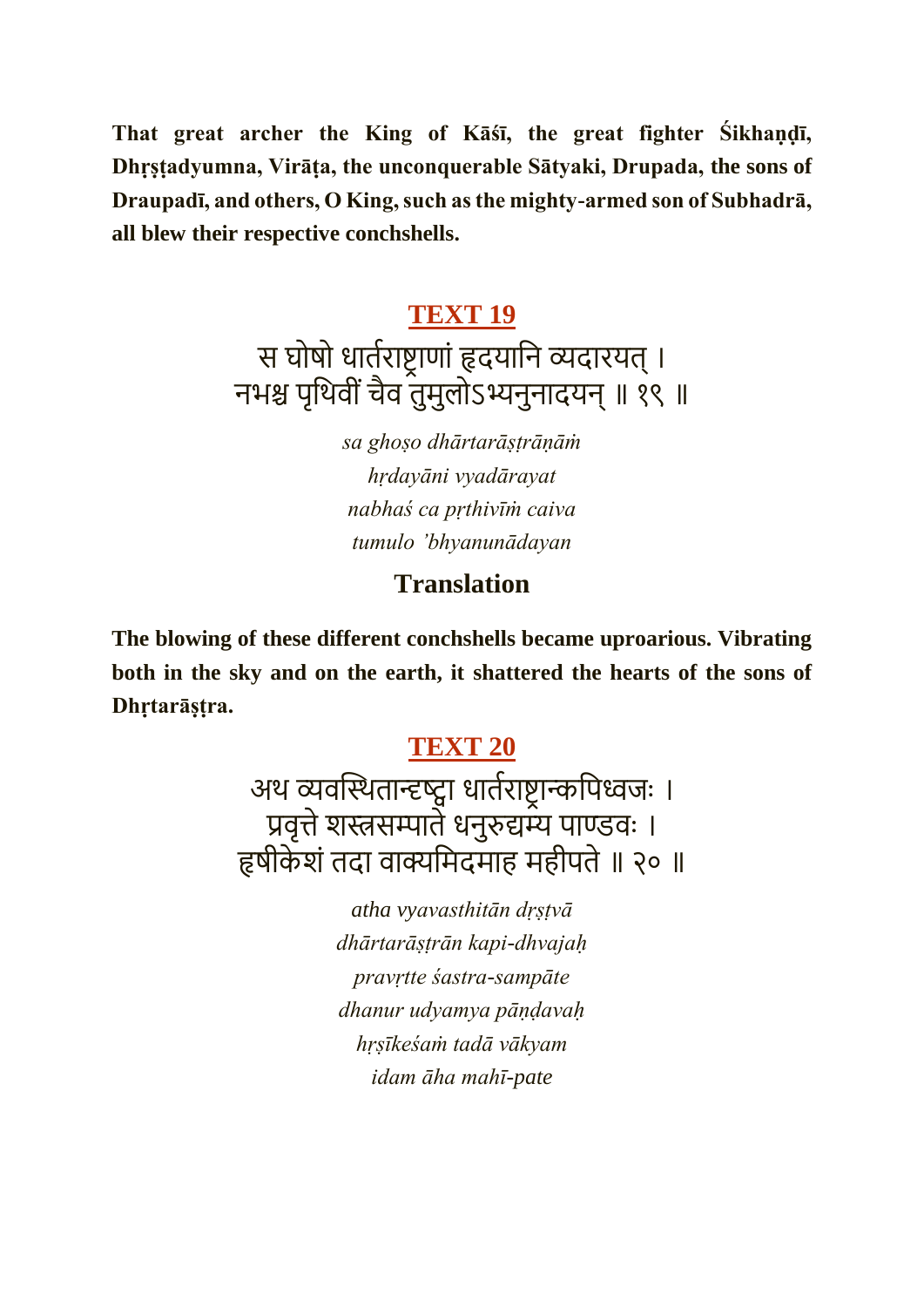**That great archer the King of Kāśī, the great fighter Śikhaṇḍī, Dhṛṣṭadyumna, Virāṭa, the unconquerable Sātyaki, Drupada, the sons of Draupadī, and others, O King, such as the mighty-armed son of Subhadrā, all blew their respective conchshells.**

#### **[TEXT 19](https://vedabase.io/en/library/bg/1/19/)**

स घोषो धार्तराष्ट्राणां हृदयानि व्यदारयत् । नभश्च पृथिवीं चैव तुमुलोऽभ्यनुनादयन् ॥ १९ ॥

> *sa ghoṣo dhārtarāṣṭrāṇāṁ hṛdayāni vyadārayat nabhaś ca pṛthivīṁ caiva tumulo 'bhyanunādayan*

### **Translation**

**The blowing of these different conchshells became uproarious. Vibrating both in the sky and on the earth, it shattered the hearts of the sons of Dhṛtarāṣṭra.**

#### **[TEXT 20](https://vedabase.io/en/library/bg/1/20/)**

अथ व्यवस्थितान्दृष्ट्वा धार्तराष्ट्रान्कपिध्वजः । प्रवृत्ते शस्त्रसम्पाते धनुरुद्यम्य पाण्डवः । हृषीकेशं तदा वाक्यमिदमाह महीपते ॥ २० ॥

> *atha vyavasthitān dṛṣṭvā dhārtarāṣṭrān kapi-dhvajaḥ pravṛtte śastra-sampāte dhanur udyamya pāṇḍavaḥ hṛṣīkeśaṁ tadā vākyam idam āha mahī-pate*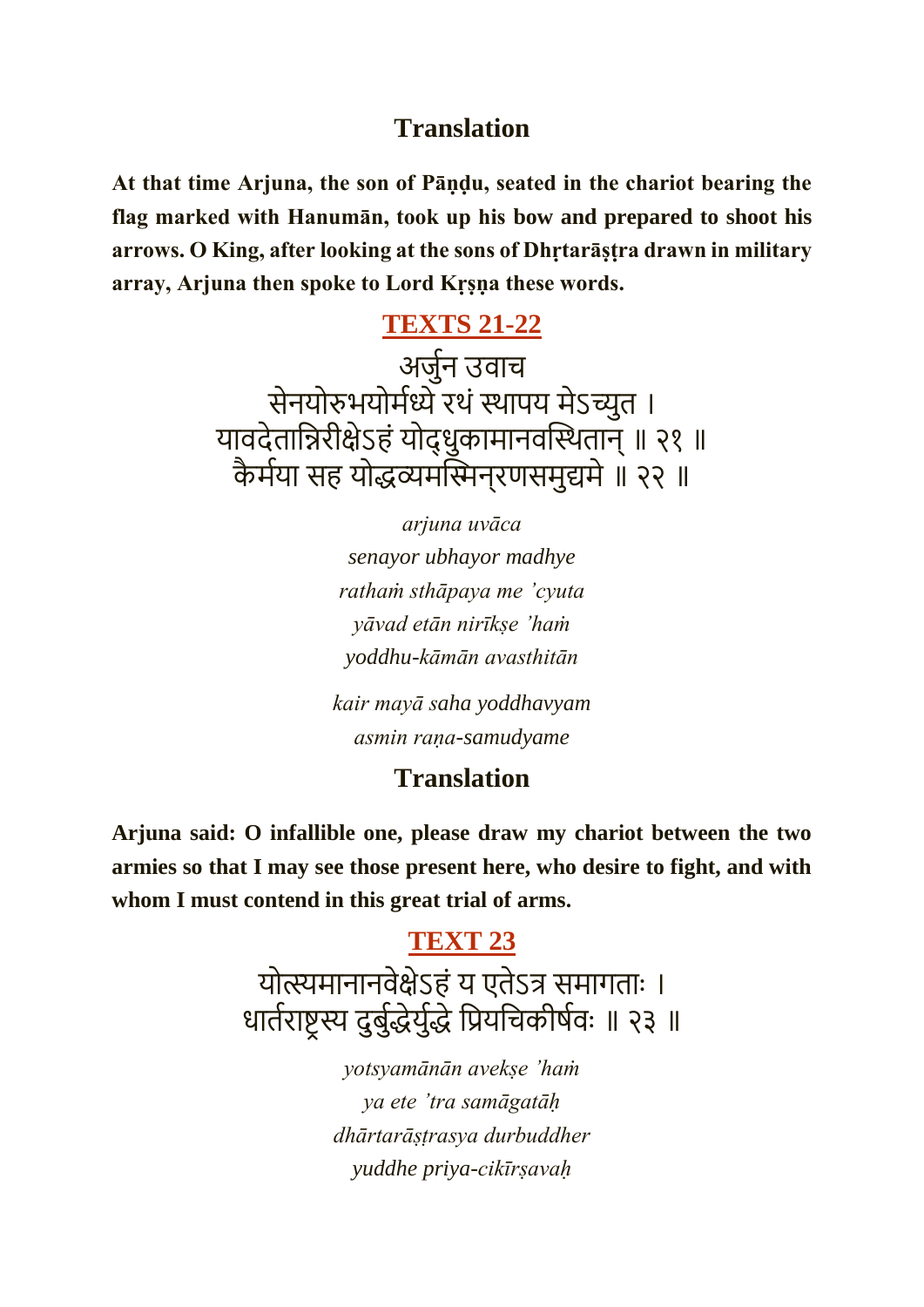#### **Translation**

**At that time Arjuna, the son of Pāṇḍu, seated in the chariot bearing the flag marked with Hanumān, took up his bow and prepared to shoot his arrows. O King, after looking at the sons of Dhṛtarāṣṭra drawn in military array, Arjuna then spoke to Lord Kṛṣṇa these words.**

#### **[TEXTS 21-22](https://vedabase.io/en/library/bg/1/21-22/)**

अजुमन उवाच सेनयोरुभयोर्मध्ये रथं स्थापय मेऽच्युत । यावदेतान्निरीक्षेऽहं योद्धुकामानवस्थितान् ॥ २१ ॥ कैर्मया सह योद्धव्यमस्मिनुरणसमुद्यमे ॥ २२ ॥

> *arjuna uvāca senayor ubhayor madhye rathaṁ sthāpaya me 'cyuta yāvad etān nirīkṣe 'haṁ yoddhu-kāmān avasthitān*

*kair mayā saha yoddhavyam asmin raṇa-samudyame*

#### **Translation**

**Arjuna said: O infallible one, please draw my chariot between the two armies so that I may see those present here, who desire to fight, and with whom I must contend in this great trial of arms.**

#### **[TEXT 23](https://vedabase.io/en/library/bg/1/23/)**

योत्स्यमानानवेक्षेऽहं य एतेऽत्र समागताः । धार्तराष्ट्रस्य दुर्बुद्धेर्युद्धे प्रियचिकीर्षवः ॥ २३ ॥

> *yotsyamānān avekṣe 'haṁ ya ete 'tra samāgatāḥ dhārtarāṣṭrasya durbuddher yuddhe priya-cikīrṣavaḥ*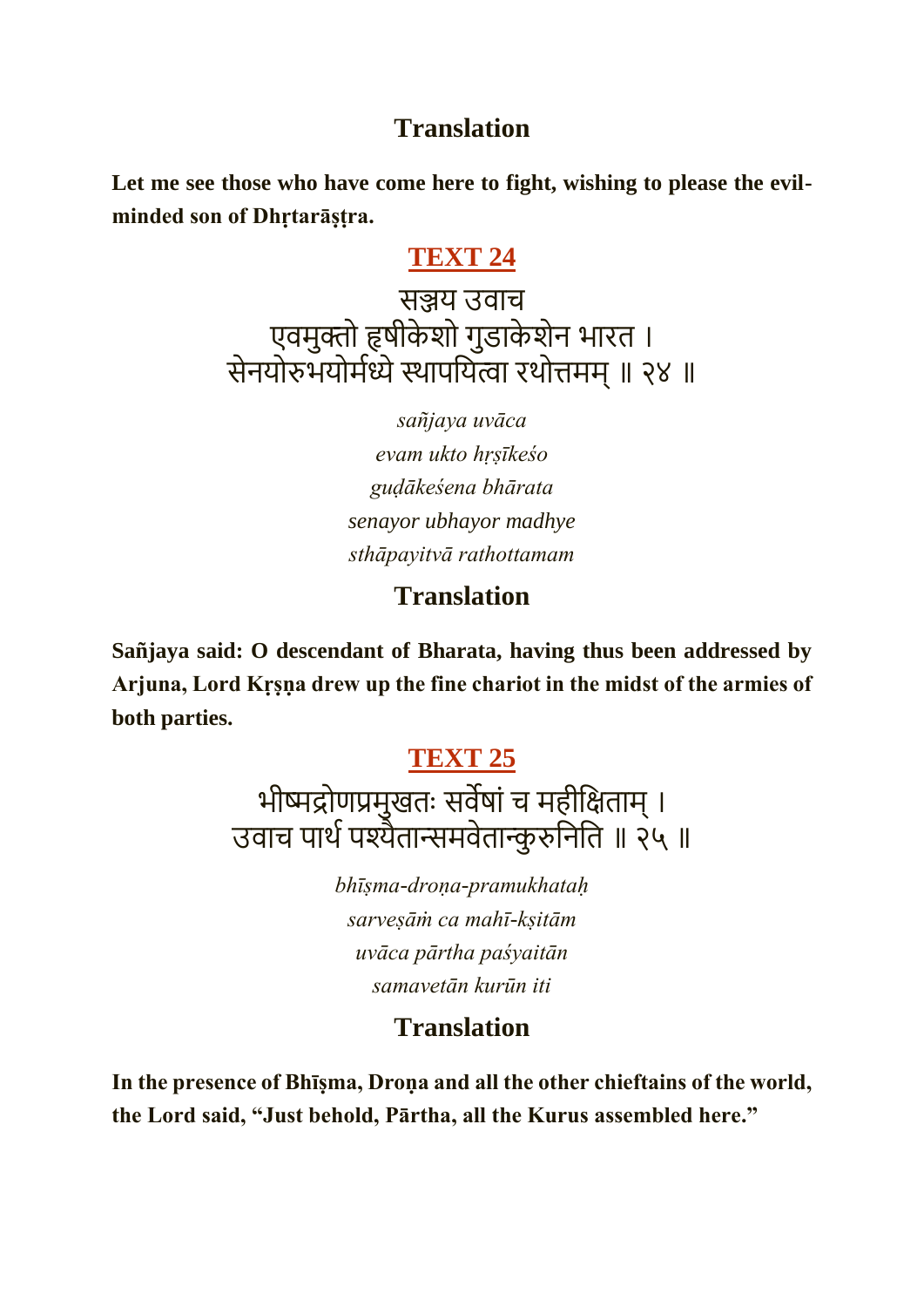#### **Translation**

**Let me see those who have come here to fight, wishing to please the evilminded son of Dhṛtarāṣṭra.**

### **[TEXT 24](https://vedabase.io/en/library/bg/1/24/)**

सञ्जय उवाच एवमुक्तो हृषीकेशो गुडाकेशेन भारत । सेनयोरुभयोर्मध्ये स्थापयित्वा रथोत्तमम् ॥ २४ ॥

> *sañjaya uvāca evam ukto hṛṣīkeśo guḍākeśena bhārata senayor ubhayor madhye sthāpayitvā rathottamam*

### **Translation**

**Sañjaya said: O descendant of Bharata, having thus been addressed by Arjuna, Lord Kṛṣṇa drew up the fine chariot in the midst of the armies of both parties.**

### **[TEXT 25](https://vedabase.io/en/library/bg/1/25/)**

भीष्मद्रोणप्रमुखतः सर्वेषां च महीक्षिताम् । उवाच पार्थ पश्यैतान्समवेतान्कुरुनिति ॥ २५ ॥

> *bhīṣma-droṇa-pramukhataḥ sarveṣāṁ ca mahī-kṣitām uvāca pārtha paśyaitān samavetān kurūn iti*

### **Translation**

**In the presence of Bhīṣma, Droṇa and all the other chieftains of the world, the Lord said, "Just behold, Pārtha, all the Kurus assembled here."**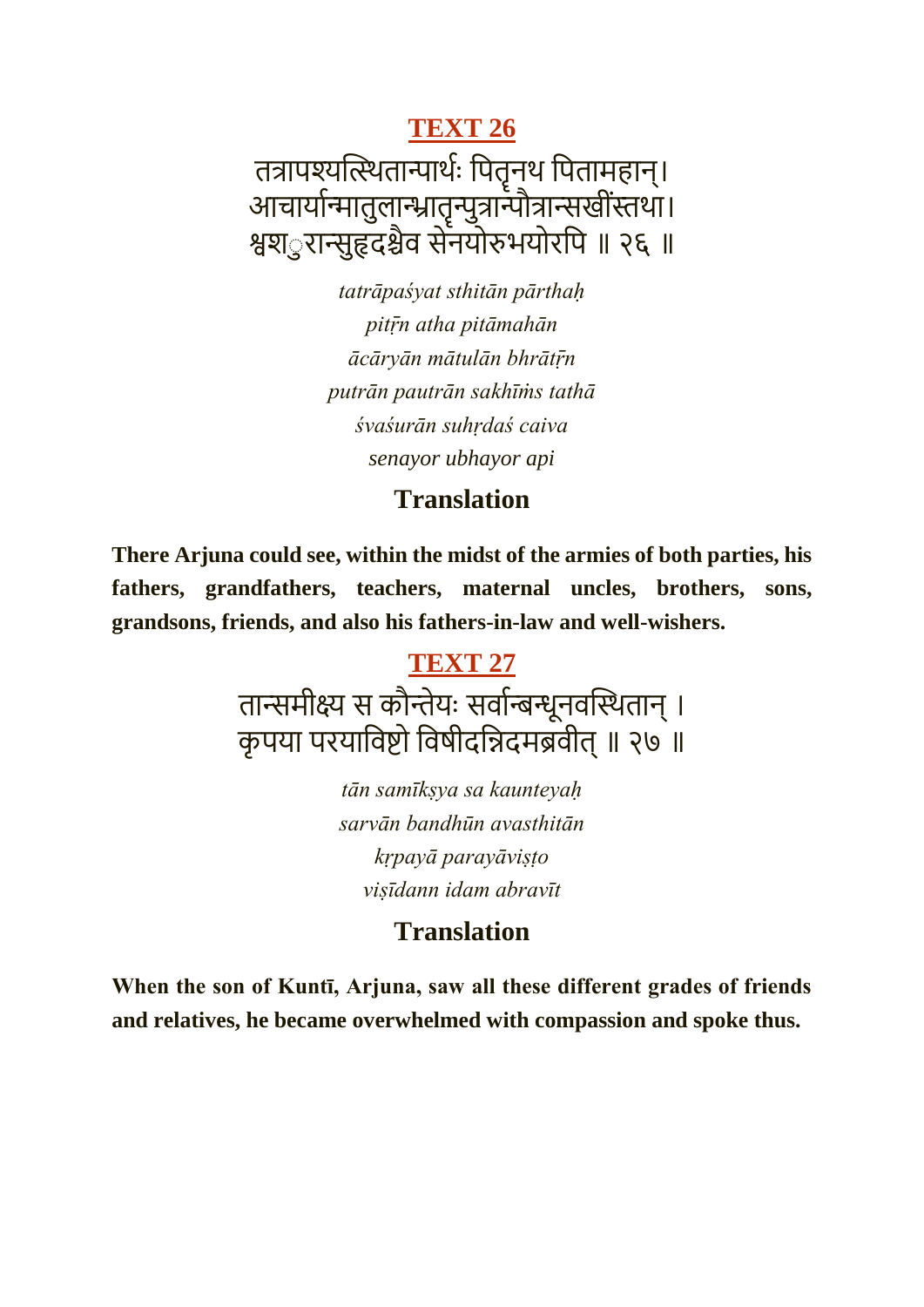## **[TEXT 26](https://vedabase.io/en/library/bg/1/26/)** तत्रापश्यत्स्थितान्पार्थः पितृन्थं पितामहान्। आचार्यान्मातुलान्भ्रातृन्पुत्रान्पौत्रान्सखीस्तथा। श्वश*ुरान्सुहृदश्चैव सेनयोरुभयोरपि ॥ २६ ॥*

*tatrāpaśyat sthitān pārthaḥ pitṝn atha pitāmahān ācāryān mātulān bhrātṝn putrān pautrān sakhīṁs tathā śvaśurān suhṛdaś caiva senayor ubhayor api*

#### **Translation**

**There Arjuna could see, within the midst of the armies of both parties, his fathers, grandfathers, teachers, maternal uncles, brothers, sons, grandsons, friends, and also his fathers-in-law and well-wishers.**

## **[TEXT 27](https://vedabase.io/en/library/bg/1/27/)** तान्समीक्ष्य स कौन्तेयः सर्वान्बन्धूनवस्थितान् । कृपया परयाविष्टो विषीदन्निदमब्रवीत् ॥ २७ ॥

*tān samīkṣya sa kaunteyaḥ sarvān bandhūn avasthitān kṛpayā parayāviṣṭo viṣīdann idam abravīt*

### **Translation**

**When the son of Kuntī, Arjuna, saw all these different grades of friends and relatives, he became overwhelmed with compassion and spoke thus.**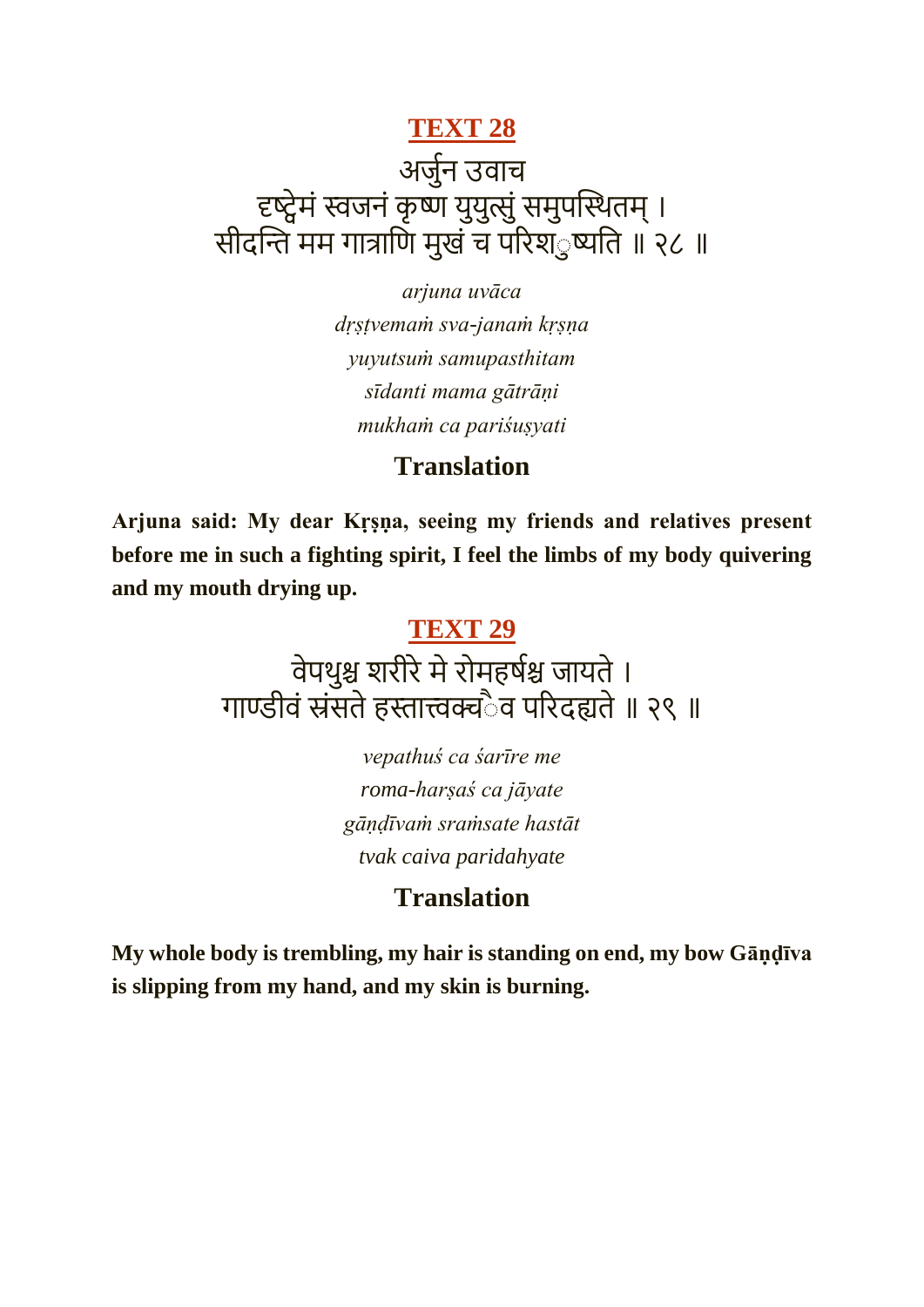## **[TEXT 28](https://vedabase.io/en/library/bg/1/28/)** अजुमन उवाच दृष्ट्वेमं स्वजनं कृष्ण युयुत्सुं समुपस्थितम् । सीदन्ति मम गात्राणि मुखं च परिश*ु*ष्यति ॥ २८ ॥

*arjuna uvāca dṛṣṭvemaṁ sva-janaṁ kṛṣṇa yuyutsuṁ samupasthitam sīdanti mama gātrāṇi mukhaṁ ca pariśuṣyati*

#### **Translation**

**Arjuna said: My dear Kṛṣṇa, seeing my friends and relatives present before me in such a fighting spirit, I feel the limbs of my body quivering and my mouth drying up.**

#### **[TEXT 29](https://vedabase.io/en/library/bg/1/29/)**

वेपथुश्च शरीरे मे रोमहर्षश्च जायते । गाण्डीवं स्रंसते हस्तात्त्वक्चैव परिदह्यते ॥ २९ ॥

> *vepathuś ca śarīre me roma-harṣaś ca jāyate gāṇḍīvaṁ sraṁsate hastāt tvak caiva paridahyate*

### **Translation**

**My whole body is trembling, my hair is standing on end, my bow Gāṇḍīva is slipping from my hand, and my skin is burning.**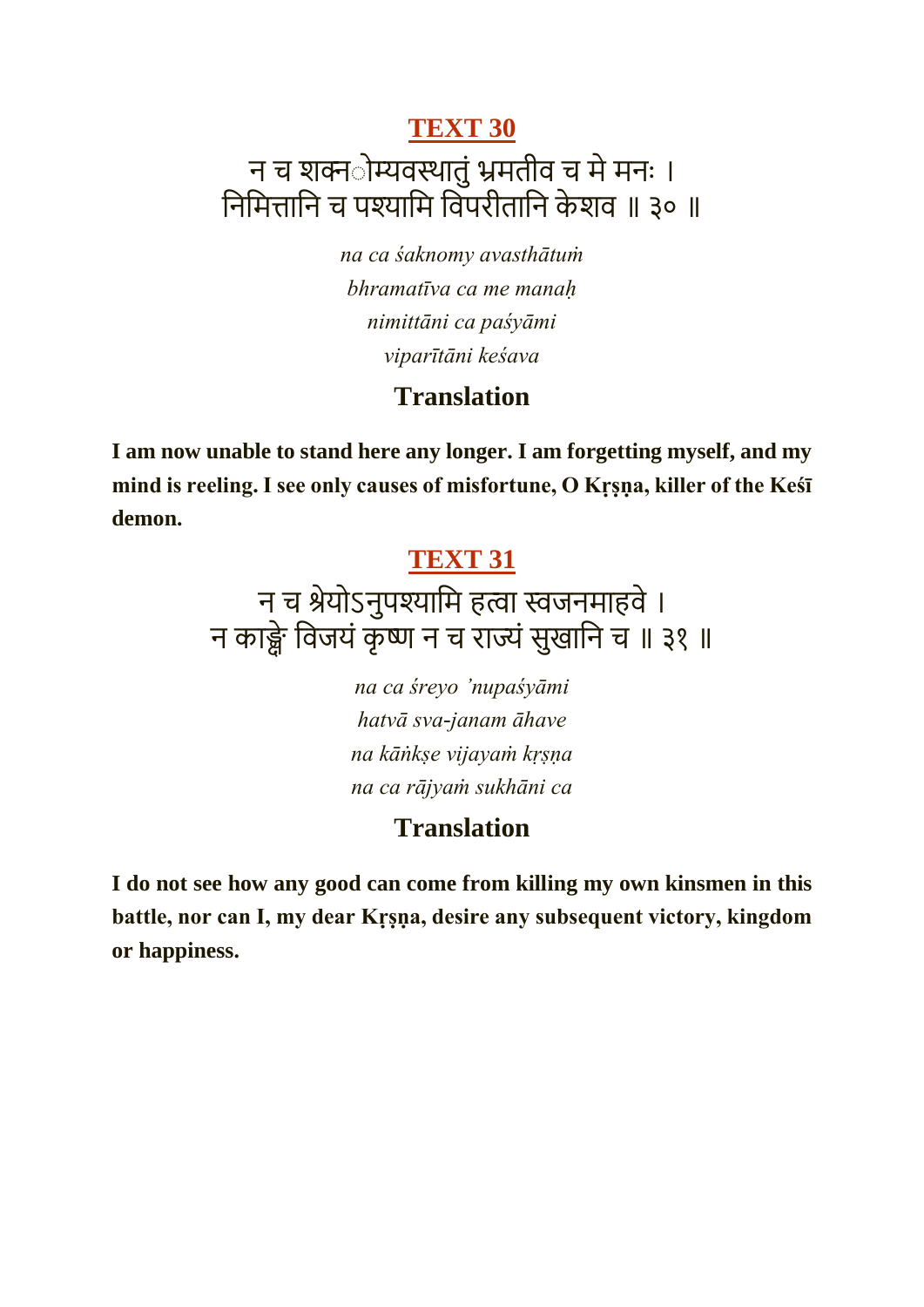## न च शक्नोम्यवस्थातुं भ्रमतीव च मे मनः । निमित्तानि च पश्यामि विपरीतानि केशव ॥ ३० ॥

*na ca śaknomy avasthātuṁ bhramatīva ca me manaḥ nimittāni ca paśyāmi viparītāni keśava*

#### **Translation**

**I am now unable to stand here any longer. I am forgetting myself, and my mind is reeling. I see only causes of misfortune, O Kṛṣṇa, killer of the Keśī demon.**

#### **[TEXT 31](https://vedabase.io/en/library/bg/1/31/)**

## न च श्रेयोऽनुपश्यामि हत्वा स्वजनमाहवे । न काङ्क्षे विजयं कृष्ण न च राज्यं सुखानि च ॥ ३१ ॥

*na ca śreyo 'nupaśyāmi hatvā sva-janam āhave na kāṅkṣe vijayaṁ kṛṣṇa na ca rājyaṁ sukhāni ca*

#### **Translation**

**I do not see how any good can come from killing my own kinsmen in this battle, nor can I, my dear Kṛṣṇa, desire any subsequent victory, kingdom or happiness.**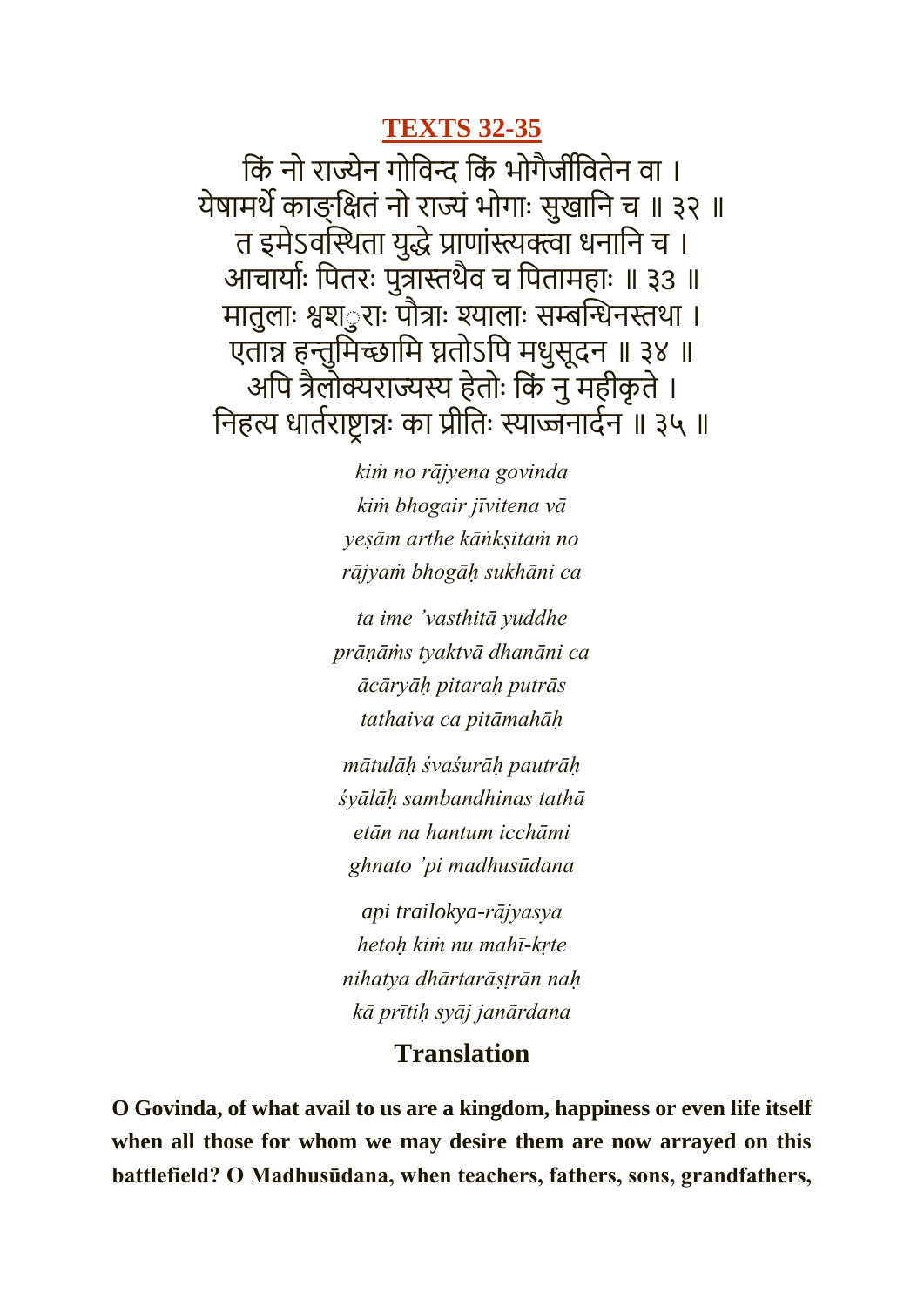#### **[TEXTS 32-35](https://vedabase.io/en/library/bg/1/32-35/)**

किं नो राज्येन गोविन्द किं भोगैजींवितेन वा । येषामर्थे काङ्क्षितं नो राज्यं भोगाः सुखानि च ॥ ३२ ॥ त इमेऽवस्थिता युद्धे प्राणांस्त्यक्त्वा धनानि च । आचायामः कपतरः पुत्रास्तथैव च कपतार्हाः ॥ ३3 ॥ मातुलाः श्वश*ुराः पौत्राः श्यालाः सम्बन्धिनस्तथा ।* एतान्न हन्तुमिच्छामि घ्नतोऽपि मधुसूदन ॥ ३४ ॥ अपि त्रैलोक्यराज्यस्य हेतोः किं नु महीकृते । निहत्य धार्तराष्ट्रान्नः का प्रीतिः स्याज्जनार्दन ॥ ३५ ॥

> *kiṁ no rājyena govinda kiṁ bhogair jīvitena vā yeṣām arthe kāṅkṣitaṁ no rājyaṁ bhogāḥ sukhāni ca*

*ta ime 'vasthitā yuddhe prāṇāṁs tyaktvā dhanāni ca ācāryāḥ pitaraḥ putrās tathaiva ca pitāmahāḥ*

*mātulāḥ śvaśurāḥ pautrāḥ śyālāḥ sambandhinas tathā etān na hantum icchāmi ghnato 'pi madhusūdana*

*api trailokya-rājyasya hetoḥ kiṁ nu mahī-kṛte nihatya dhārtarāṣṭrān naḥ kā prītiḥ syāj janārdana*

#### **Translation**

**O Govinda, of what avail to us are a kingdom, happiness or even life itself when all those for whom we may desire them are now arrayed on this battlefield? O Madhusūdana, when teachers, fathers, sons, grandfathers,**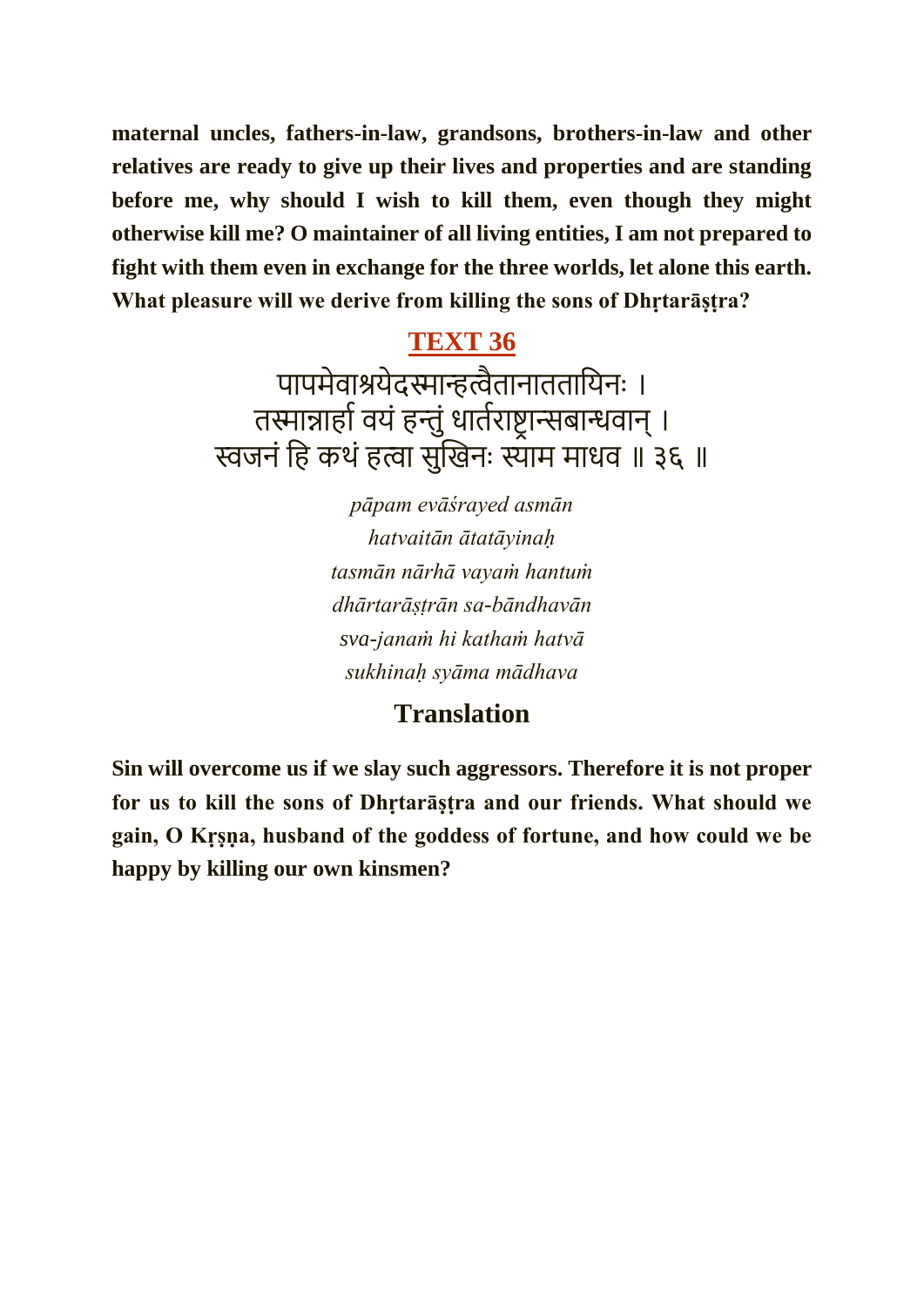**maternal uncles, fathers-in-law, grandsons, brothers-in-law and other relatives are ready to give up their lives and properties and are standing before me, why should I wish to kill them, even though they might otherwise kill me? O maintainer of all living entities, I am not prepared to fight with them even in exchange for the three worlds, let alone this earth. What pleasure will we derive from killing the sons of Dhṛtarāṣṭra?**

## **[TEXT 36](https://vedabase.io/en/library/bg/1/36/)**

पापमेवाश्रयेदस्मान्हत्वैतानाततायिनः । तस्मान्नार्हा वयं हन्तुं धार्तराष्ट्रान्सबान्धवान् । स्वजनं हि कथं हत्वा सुखिनः स्याम माधव ॥ ३६ ॥

> *pāpam evāśrayed asmān hatvaitān ātatāyinaḥ tasmān nārhā vayaṁ hantuṁ dhārtarāṣṭrān sa-bāndhavān sva-janaṁ hi kathaṁ hatvā sukhinaḥ syāma mādhava*

### **Translation**

**Sin will overcome us if we slay such aggressors. Therefore it is not proper for us to kill the sons of Dhṛtarāṣṭra and our friends. What should we gain, O Kṛṣṇa, husband of the goddess of fortune, and how could we be happy by killing our own kinsmen?**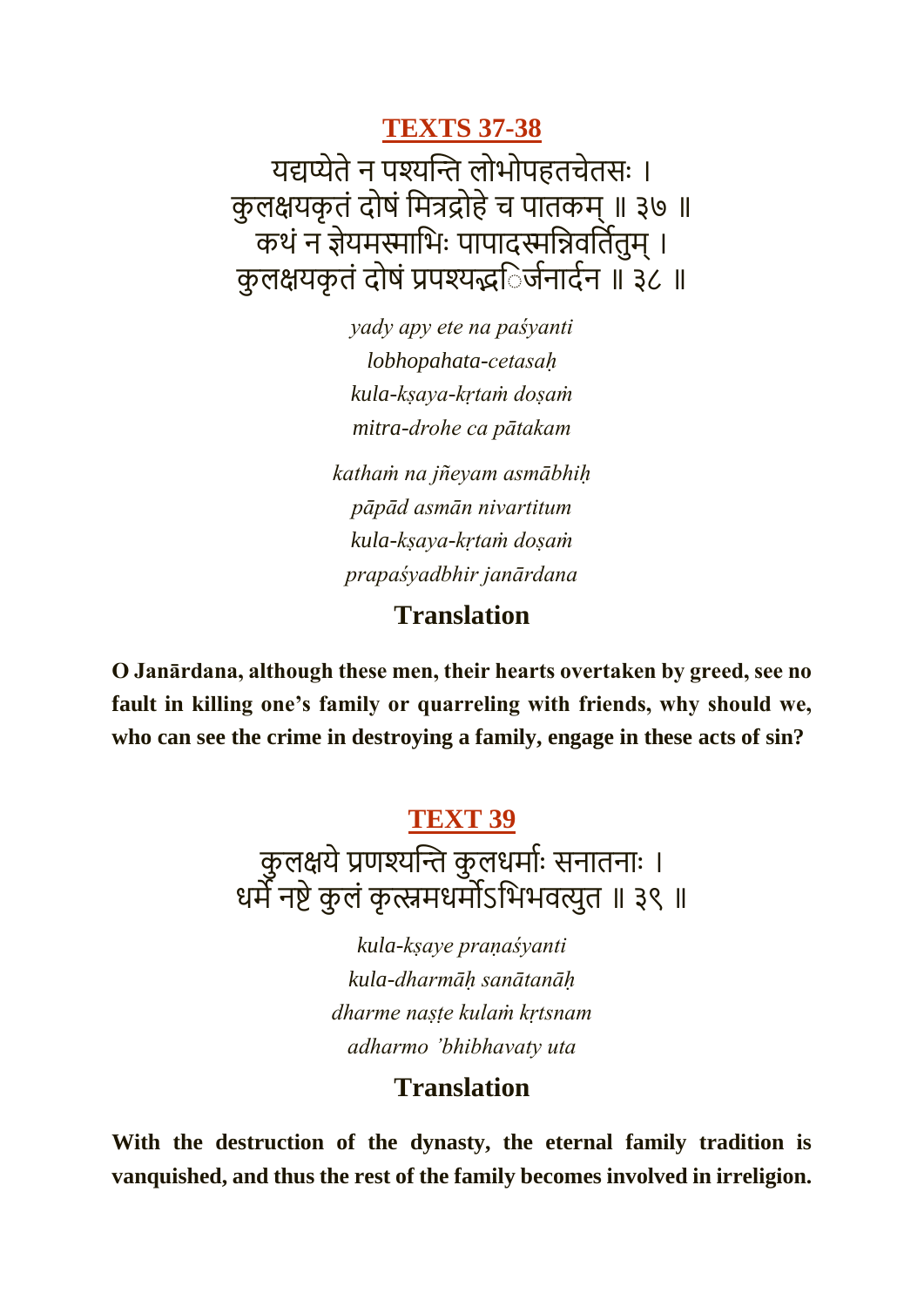**[TEXTS 37-38](https://vedabase.io/en/library/bg/1/37-38/)**

यद्यप्येतेन पश्यन्ति लोभोपहतचेतसः । कुलक्षयकृतं दोषं मित्रद्रोहे च पातकम् ॥ ३७ ॥ कथं न ज्ञेयमस्माभिः पापादस्मन्निवर्तितम् । कुलक्षयकृतं दोषं प्रपश्यद्भिर्जनार्दन ॥ ३८ ॥

> *yady apy ete na paśyanti lobhopahata-cetasaḥ kula-kṣaya-kṛtaṁ doṣaṁ mitra-drohe ca pātakam*

*kathaṁ na jñeyam asmābhiḥ pāpād asmān nivartitum kula-kṣaya-kṛtaṁ doṣaṁ prapaśyadbhir janārdana*

#### **Translation**

**O Janārdana, although these men, their hearts overtaken by greed, see no fault in killing one's family or quarreling with friends, why should we, who can see the crime in destroying a family, engage in these acts of sin?**

#### **[TEXT 39](https://vedabase.io/en/library/bg/1/39/)**

कुलक्षये प्रणश्यन्ति कुलधर्माः सनातनाः । धर्मे नष्टे कुलं कृत्स्नमधर्मोऽभिभवत्युत ॥ ३९ ॥

> *kula-kṣaye praṇaśyanti kula-dharmāḥ sanātanāḥ dharme naṣṭe kulaṁ kṛtsnam adharmo 'bhibhavaty uta*

#### **Translation**

**With the destruction of the dynasty, the eternal family tradition is vanquished, and thus the rest of the family becomes involved in irreligion.**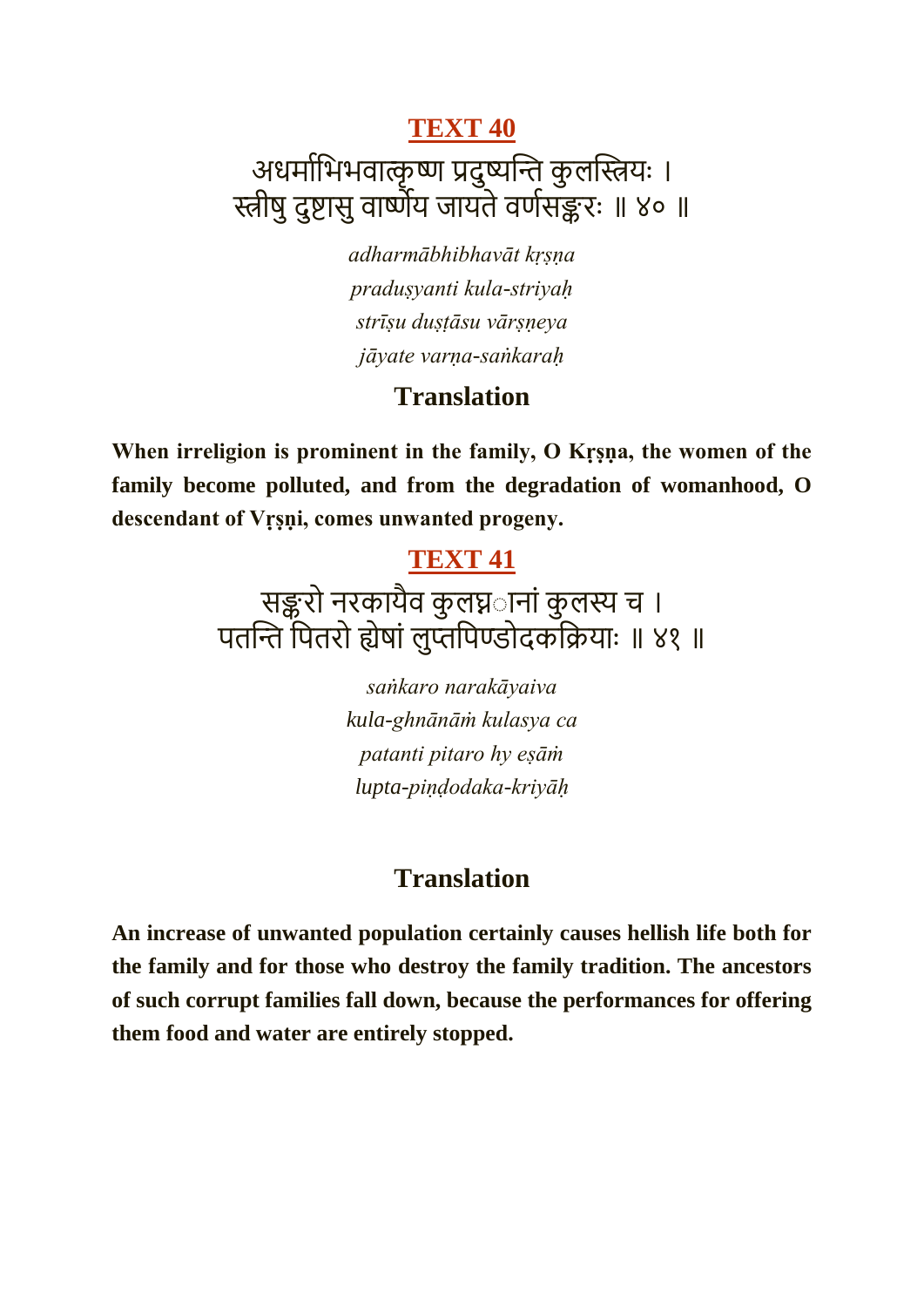## **[TEXT 40](https://vedabase.io/en/library/bg/1/40/)** अधर्माभिभवात्कृष्ण प्रदुष्यन्ति कुलस्त्रियः । स्त्रीषुदुष्ट्ासुवाष्णेय जायतेवणमसङ्करः ॥ ४० ॥

*adharmābhibhavāt kṛṣṇa praduṣyanti kula-striyaḥ strīṣu duṣṭāsu vārṣṇeya jāyate varṇa-saṅkaraḥ*

#### **Translation**

When irreligion is prominent in the family, O Krsna, the women of the **family become polluted, and from the degradation of womanhood, O descendant of Vṛṣṇi, comes unwanted progeny.**

#### **[TEXT 41](https://vedabase.io/en/library/bg/1/41/)**

## सङ्करो नरकायैव कुलघ्नानां कुलस्य च । पतन्ति पितरो ह्येषां लुप्तपिण्डोदकक्रियाः ॥ ४१ ॥

*saṅkaro narakāyaiva kula-ghnānāṁ kulasya ca patanti pitaro hy eṣāṁ lupta-piṇḍodaka-kriyāḥ*

#### **Translation**

**An increase of unwanted population certainly causes hellish life both for the family and for those who destroy the family tradition. The ancestors of such corrupt families fall down, because the performances for offering them food and water are entirely stopped.**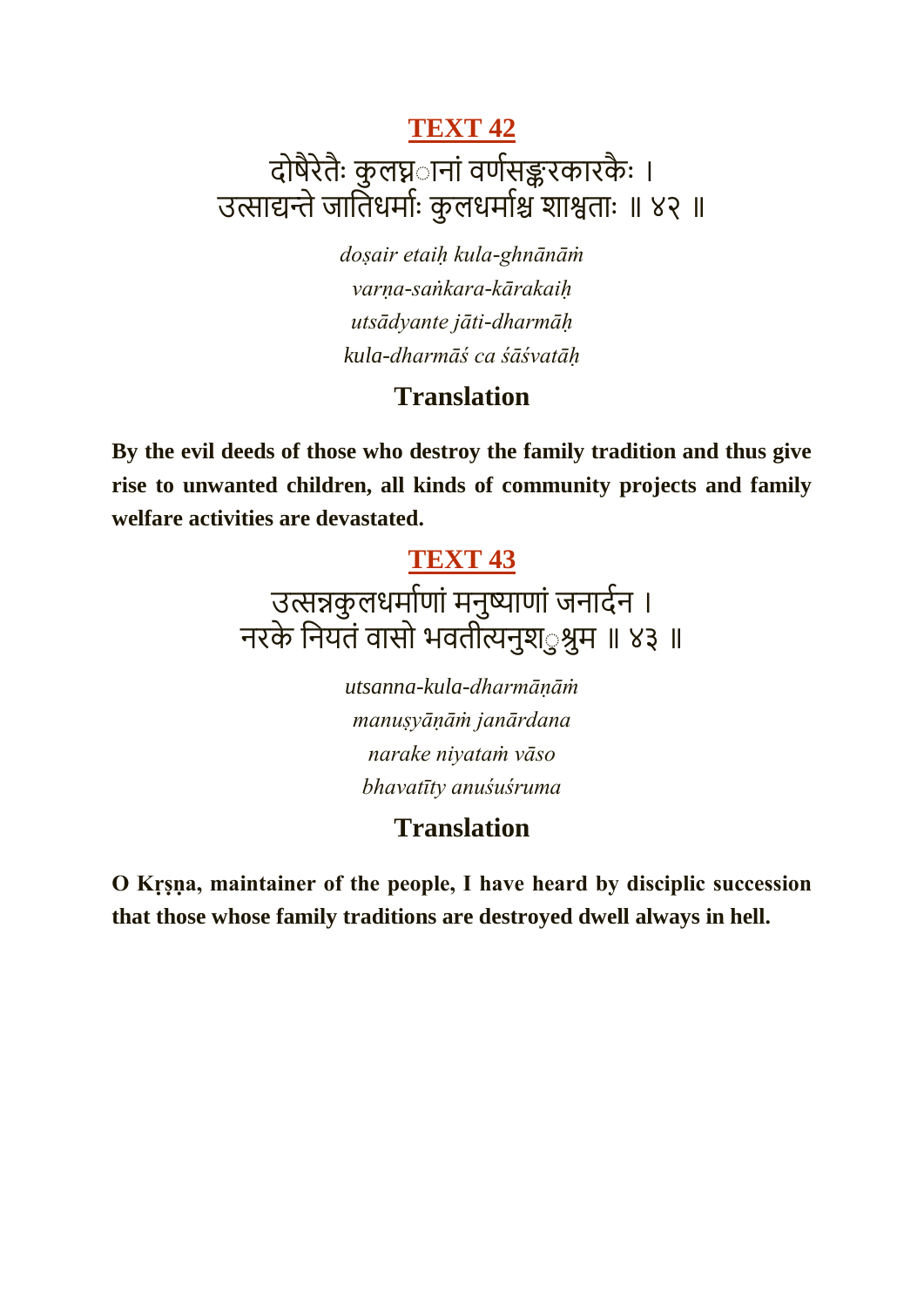## दोषैरेतैः कुलघ्न**ानां वर्णसङ्करकारकैः** । उत्साद्यन्ते जातिधर्माः कुलधर्माश्च शाश्वताः ॥ ४२ ॥

*doṣair etaiḥ kula-ghnānāṁ varṇa-saṅkara-kārakaiḥ utsādyante jāti-dharmāḥ kula-dharmāś ca śāśvatāḥ*

#### **Translation**

**By the evil deeds of those who destroy the family tradition and thus give rise to unwanted children, all kinds of community projects and family welfare activities are devastated.**

#### **[TEXT 43](https://vedabase.io/en/library/bg/1/43/)**

## उत्सन्नकु लधर्माणां मनुष्याणां जनार्दन । नरके कनयतं वासो भवतीत्यनुिूु श्रुर् ॥ ४३ ॥

*utsanna-kula-dharmāṇāṁ manuṣyāṇāṁ janārdana narake niyataṁ vāso bhavatīty anuśuśruma*

#### **Translation**

**O Kṛṣṇa, maintainer of the people, I have heard by disciplic succession that those whose family traditions are destroyed dwell always in hell.**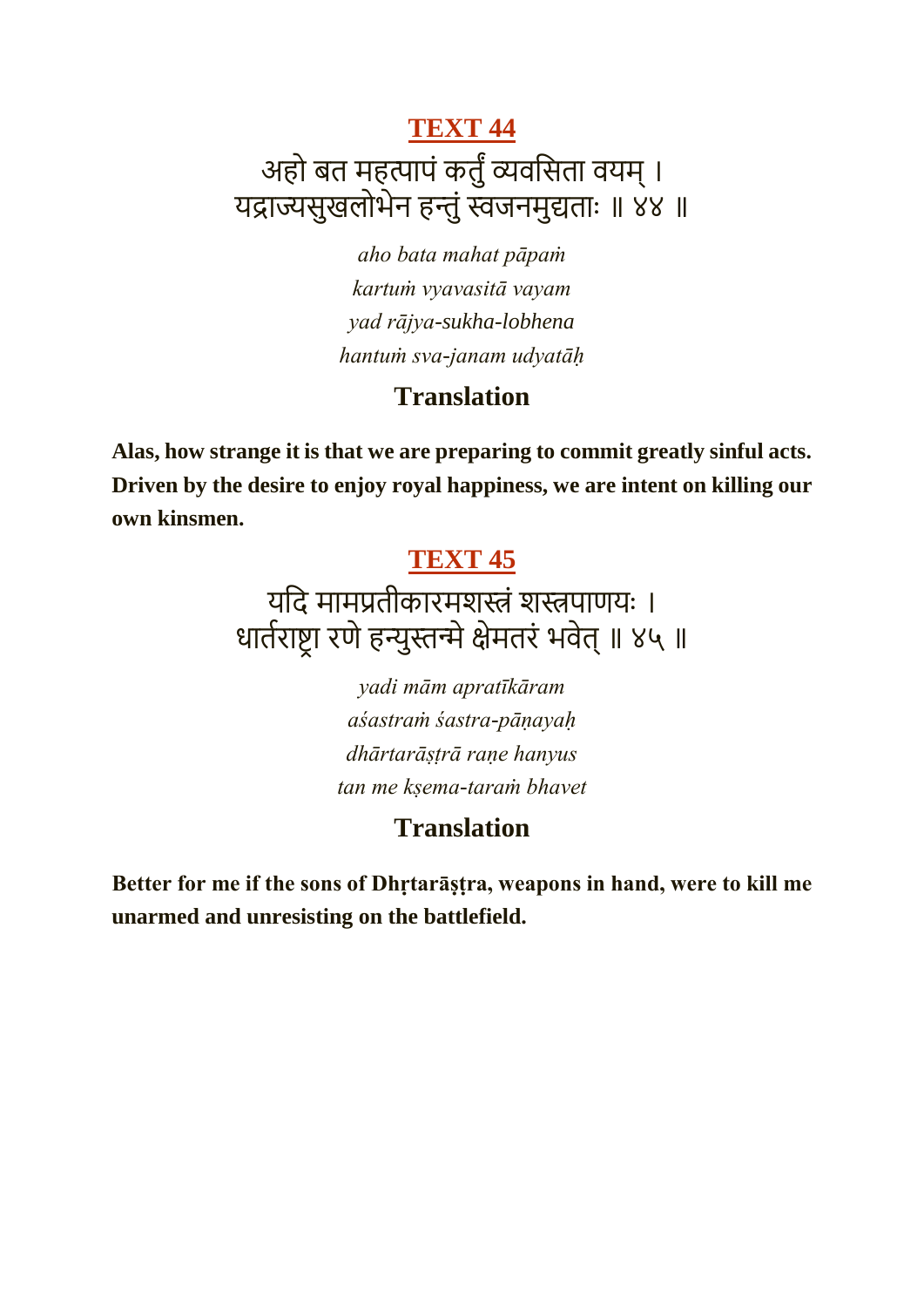## **[TEXT 44](https://vedabase.io/en/library/bg/1/44/)** अहो बत महत्पापं कर्तुं व्यवसिता वयम् । यद्राज्यसुखलोभेन हन्तुं स्वजनमुद्यताः ॥ ४४ ॥

*aho bata mahat pāpaṁ kartuṁ vyavasitā vayam yad rājya-sukha-lobhena hantuṁ sva-janam udyatāḥ*

#### **Translation**

**Alas, how strange it is that we are preparing to commit greatly sinful acts. Driven by the desire to enjoy royal happiness, we are intent on killing our own kinsmen.**

#### **[TEXT 45](https://vedabase.io/en/library/bg/1/45/)**

यदि मामप्रतीकारमशस्त्रं शस्त्रपाणयः । धार्तराष्ट्रा रणे हन्युस्तन्मे क्षेमतरं भवेत् ॥ ४५ ॥

> *yadi mām apratīkāram aśastraṁ śastra-pāṇayaḥ dhārtarāṣṭrā raṇe hanyus tan me kṣema-taraṁ bhavet*

## **Translation**

**Better for me if the sons of Dhṛtarāṣṭra, weapons in hand, were to kill me unarmed and unresisting on the battlefield.**